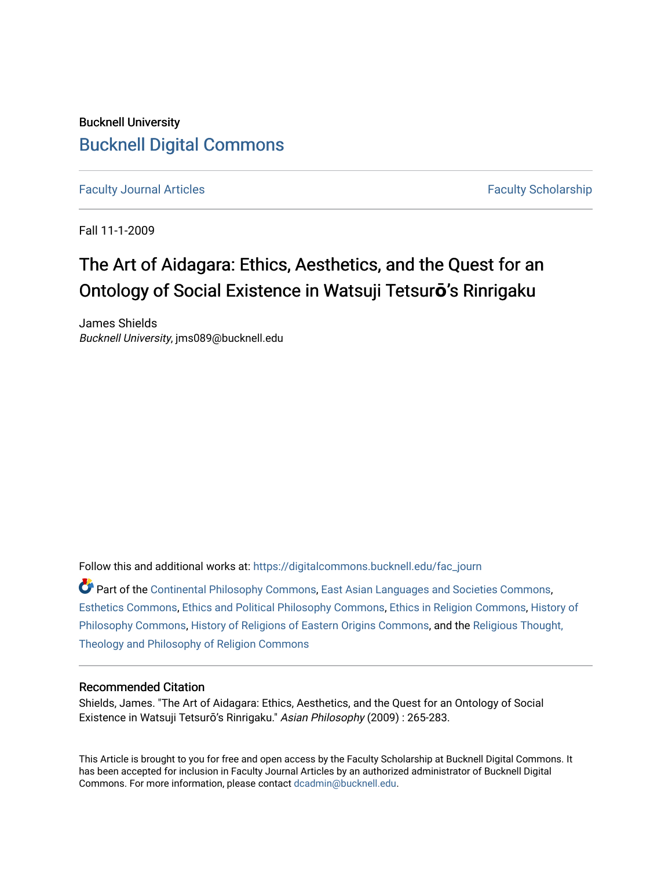## Bucknell University [Bucknell Digital Commons](https://digitalcommons.bucknell.edu/)

[Faculty Journal Articles](https://digitalcommons.bucknell.edu/fac_journ) **Faculty Scholarship** Faculty Scholarship

Fall 11-1-2009

## The Art of Aidagara: Ethics, Aesthetics, and the Quest for an Ontology of Social Existence in Watsuji Tetsur**ō**'s Rinrigaku

James Shields Bucknell University, jms089@bucknell.edu

Follow this and additional works at: [https://digitalcommons.bucknell.edu/fac\\_journ](https://digitalcommons.bucknell.edu/fac_journ?utm_source=digitalcommons.bucknell.edu%2Ffac_journ%2F591&utm_medium=PDF&utm_campaign=PDFCoverPages)

Part of the [Continental Philosophy Commons](http://network.bepress.com/hgg/discipline/526?utm_source=digitalcommons.bucknell.edu%2Ffac_journ%2F591&utm_medium=PDF&utm_campaign=PDFCoverPages), [East Asian Languages and Societies Commons](http://network.bepress.com/hgg/discipline/481?utm_source=digitalcommons.bucknell.edu%2Ffac_journ%2F591&utm_medium=PDF&utm_campaign=PDFCoverPages), [Esthetics Commons,](http://network.bepress.com/hgg/discipline/528?utm_source=digitalcommons.bucknell.edu%2Ffac_journ%2F591&utm_medium=PDF&utm_campaign=PDFCoverPages) [Ethics and Political Philosophy Commons,](http://network.bepress.com/hgg/discipline/529?utm_source=digitalcommons.bucknell.edu%2Ffac_journ%2F591&utm_medium=PDF&utm_campaign=PDFCoverPages) [Ethics in Religion Commons](http://network.bepress.com/hgg/discipline/541?utm_source=digitalcommons.bucknell.edu%2Ffac_journ%2F591&utm_medium=PDF&utm_campaign=PDFCoverPages), [History of](http://network.bepress.com/hgg/discipline/531?utm_source=digitalcommons.bucknell.edu%2Ffac_journ%2F591&utm_medium=PDF&utm_campaign=PDFCoverPages) [Philosophy Commons,](http://network.bepress.com/hgg/discipline/531?utm_source=digitalcommons.bucknell.edu%2Ffac_journ%2F591&utm_medium=PDF&utm_campaign=PDFCoverPages) [History of Religions of Eastern Origins Commons](http://network.bepress.com/hgg/discipline/543?utm_source=digitalcommons.bucknell.edu%2Ffac_journ%2F591&utm_medium=PDF&utm_campaign=PDFCoverPages), and the [Religious Thought,](http://network.bepress.com/hgg/discipline/544?utm_source=digitalcommons.bucknell.edu%2Ffac_journ%2F591&utm_medium=PDF&utm_campaign=PDFCoverPages) [Theology and Philosophy of Religion Commons](http://network.bepress.com/hgg/discipline/544?utm_source=digitalcommons.bucknell.edu%2Ffac_journ%2F591&utm_medium=PDF&utm_campaign=PDFCoverPages) 

#### Recommended Citation

Shields, James. "The Art of Aidagara: Ethics, Aesthetics, and the Quest for an Ontology of Social Existence in Watsuji Tetsurō's Rinrigaku." Asian Philosophy (2009) : 265-283.

This Article is brought to you for free and open access by the Faculty Scholarship at Bucknell Digital Commons. It has been accepted for inclusion in Faculty Journal Articles by an authorized administrator of Bucknell Digital Commons. For more information, please contact [dcadmin@bucknell.edu](mailto:dcadmin@bucknell.edu).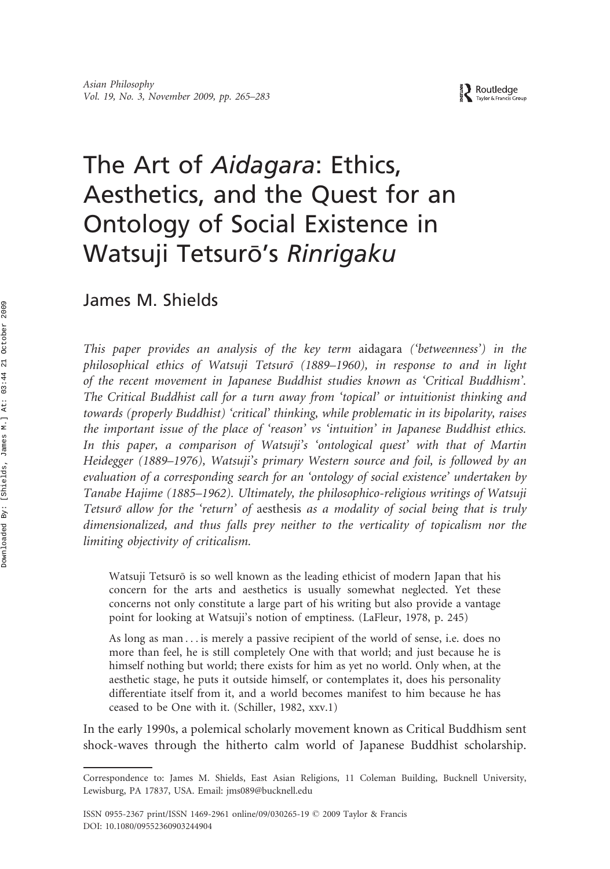## Routledge

# The Art of Aidagara: Ethics, Aesthetics, and the Quest for an Ontology of Social Existence in Watsuji Tetsurō's Rinrigaku

### James M. Shields

This paper provides an analysis of the key term aidagara ('betweenness') in the philosophical ethics of Watsuji Tetsurō (1889–1960), in response to and in light of the recent movement in Japanese Buddhist studies known as 'Critical Buddhism'. The Critical Buddhist call for a turn away from 'topical' or intuitionist thinking and towards (properly Buddhist) 'critical' thinking, while problematic in its bipolarity, raises the important issue of the place of 'reason' vs 'intuition' in Japanese Buddhist ethics. In this paper, a comparison of Watsuji's 'ontological quest' with that of Martin Heidegger (1889–1976), Watsuji's primary Western source and foil, is followed by an evaluation of a corresponding search for an 'ontology of social existence' undertaken by Tanabe Hajime (1885–1962). Ultimately, the philosophico-religious writings of Watsuji Tetsuro allow for the 'return' of aesthesis as a modality of social being that is truly dimensionalized, and thus falls prey neither to the verticality of topicalism nor the limiting objectivity of criticalism.

Watsuji Tetsurō is so well known as the leading ethicist of modern Japan that his concern for the arts and aesthetics is usually somewhat neglected. Yet these concerns not only constitute a large part of his writing but also provide a vantage point for looking at Watsuji's notion of emptiness. (LaFleur, 1978, p. 245)

As long as man ... is merely a passive recipient of the world of sense, i.e. does no more than feel, he is still completely One with that world; and just because he is himself nothing but world; there exists for him as yet no world. Only when, at the aesthetic stage, he puts it outside himself, or contemplates it, does his personality differentiate itself from it, and a world becomes manifest to him because he has ceased to be One with it. (Schiller, 1982, xxv.1)

In the early 1990s, a polemical scholarly movement known as Critical Buddhism sent shock-waves through the hitherto calm world of Japanese Buddhist scholarship.

Correspondence to: James M. Shields, East Asian Religions, 11 Coleman Building, Bucknell University, Lewisburg, PA 17837, USA. Email: jms089@bucknell.edu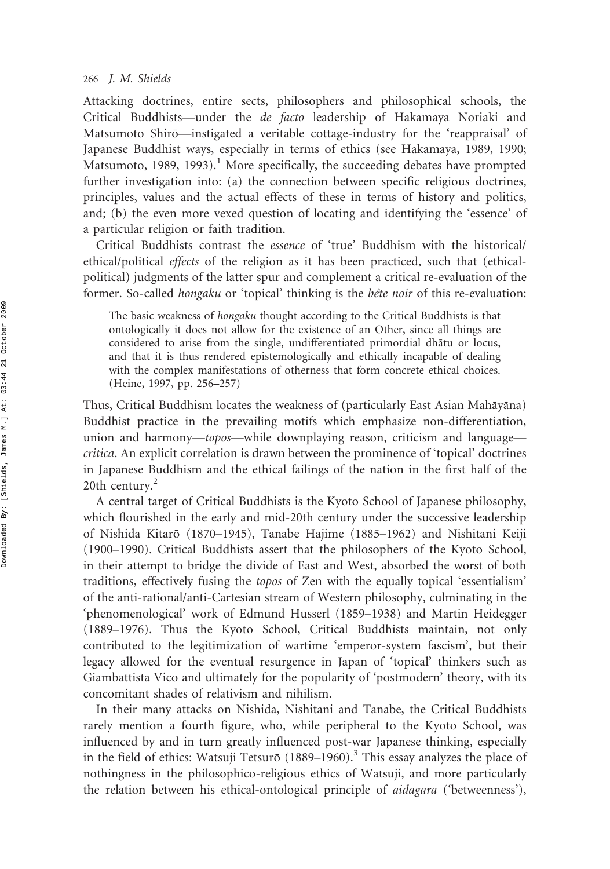Attacking doctrines, entire sects, philosophers and philosophical schools, the Critical Buddhists—under the de facto leadership of Hakamaya Noriaki and Matsumoto Shirō—instigated a veritable cottage-industry for the 'reappraisal' of Japanese Buddhist ways, especially in terms of ethics (see Hakamaya, 1989, 1990; Matsumoto, 1989, 1993).<sup>1</sup> More specifically, the succeeding debates have prompted further investigation into: (a) the connection between specific religious doctrines, principles, values and the actual effects of these in terms of history and politics, and; (b) the even more vexed question of locating and identifying the 'essence' of a particular religion or faith tradition.

Critical Buddhists contrast the essence of 'true' Buddhism with the historical/ ethical/political effects of the religion as it has been practiced, such that (ethicalpolitical) judgments of the latter spur and complement a critical re-evaluation of the former. So-called *hongaku* or 'topical' thinking is the *bête noir* of this re-evaluation:

The basic weakness of hongaku thought according to the Critical Buddhists is that ontologically it does not allow for the existence of an Other, since all things are considered to arise from the single, undifferentiated primordial dhātu or locus, and that it is thus rendered epistemologically and ethically incapable of dealing with the complex manifestations of otherness that form concrete ethical choices. (Heine, 1997, pp. 256–257)

Thus, Critical Buddhism locates the weakness of (particularly East Asian Mahāyāna) Buddhist practice in the prevailing motifs which emphasize non-differentiation, union and harmony—*topos*—while downplaying reason, criticism and language critica. An explicit correlation is drawn between the prominence of 'topical' doctrines in Japanese Buddhism and the ethical failings of the nation in the first half of the 20th century.<sup>2</sup>

A central target of Critical Buddhists is the Kyoto School of Japanese philosophy, which flourished in the early and mid-20th century under the successive leadership of Nishida Kitarō (1870–1945), Tanabe Hajime (1885–1962) and Nishitani Keiji (1900–1990). Critical Buddhists assert that the philosophers of the Kyoto School, in their attempt to bridge the divide of East and West, absorbed the worst of both traditions, effectively fusing the topos of Zen with the equally topical 'essentialism' of the anti-rational/anti-Cartesian stream of Western philosophy, culminating in the 'phenomenological' work of Edmund Husserl (1859–1938) and Martin Heidegger (1889–1976). Thus the Kyoto School, Critical Buddhists maintain, not only contributed to the legitimization of wartime 'emperor-system fascism', but their legacy allowed for the eventual resurgence in Japan of 'topical' thinkers such as Giambattista Vico and ultimately for the popularity of 'postmodern' theory, with its concomitant shades of relativism and nihilism.

In their many attacks on Nishida, Nishitani and Tanabe, the Critical Buddhists rarely mention a fourth figure, who, while peripheral to the Kyoto School, was influenced by and in turn greatly influenced post-war Japanese thinking, especially in the field of ethics: Watsuji Tetsurō  $(1889-1960)$ .<sup>3</sup> This essay analyzes the place of nothingness in the philosophico-religious ethics of Watsuji, and more particularly the relation between his ethical-ontological principle of *aidagara* ('betweenness'),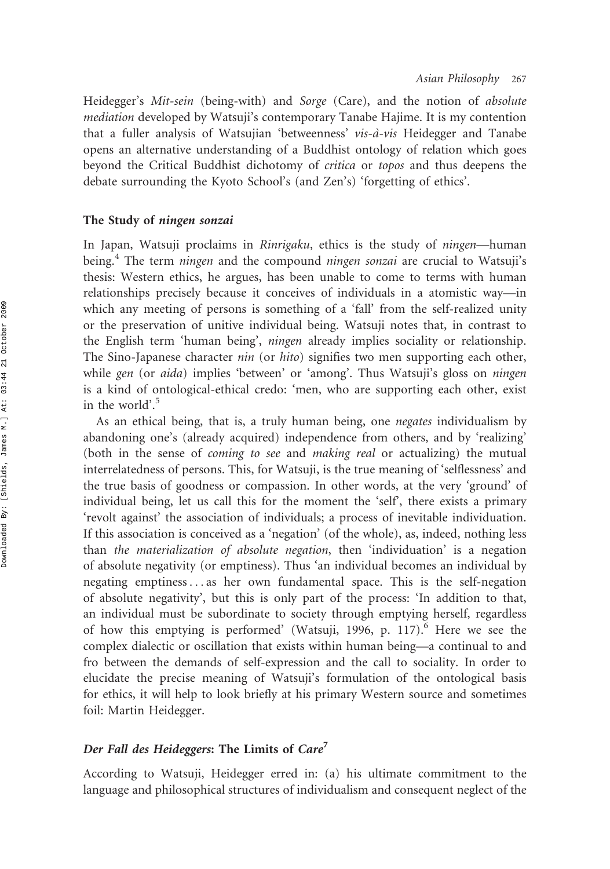Heidegger's Mit-sein (being-with) and Sorge (Care), and the notion of absolute mediation developed by Watsuji's contemporary Tanabe Hajime. It is my contention that a fuller analysis of Watsujian 'betweenness'  $vis-\hat{a}-vis$  Heidegger and Tanabe opens an alternative understanding of a Buddhist ontology of relation which goes beyond the Critical Buddhist dichotomy of critica or topos and thus deepens the debate surrounding the Kyoto School's (and Zen's) 'forgetting of ethics'.

#### The Study of ningen sonzai

In Japan, Watsuji proclaims in Rinrigaku, ethics is the study of ningen—human being.<sup>4</sup> The term *ningen* and the compound *ningen sonzai* are crucial to Watsuji's thesis: Western ethics, he argues, has been unable to come to terms with human relationships precisely because it conceives of individuals in a atomistic way—in which any meeting of persons is something of a 'fall' from the self-realized unity or the preservation of unitive individual being. Watsuji notes that, in contrast to the English term 'human being', ningen already implies sociality or relationship. The Sino-Japanese character nin (or hito) signifies two men supporting each other, while gen (or aida) implies 'between' or 'among'. Thus Watsuji's gloss on ningen is a kind of ontological-ethical credo: 'men, who are supporting each other, exist in the world'.<sup>5</sup>

As an ethical being, that is, a truly human being, one negates individualism by abandoning one's (already acquired) independence from others, and by 'realizing' (both in the sense of *coming to see* and *making real* or actualizing) the mutual interrelatedness of persons. This, for Watsuji, is the true meaning of 'selflessness' and the true basis of goodness or compassion. In other words, at the very 'ground' of individual being, let us call this for the moment the 'self', there exists a primary 'revolt against' the association of individuals; a process of inevitable individuation. If this association is conceived as a 'negation' (of the whole), as, indeed, nothing less than the materialization of absolute negation, then 'individuation' is a negation of absolute negativity (or emptiness). Thus 'an individual becomes an individual by negating emptiness... as her own fundamental space. This is the self-negation of absolute negativity', but this is only part of the process: 'In addition to that, an individual must be subordinate to society through emptying herself, regardless of how this emptying is performed' (Watsuji, 1996, p. 117).<sup>6</sup> Here we see the complex dialectic or oscillation that exists within human being—a continual to and fro between the demands of self-expression and the call to sociality. In order to elucidate the precise meaning of Watsuji's formulation of the ontological basis for ethics, it will help to look briefly at his primary Western source and sometimes foil: Martin Heidegger.

#### Der Fall des Heideggers: The Limits of  $Care<sup>7</sup>$

According to Watsuji, Heidegger erred in: (a) his ultimate commitment to the language and philosophical structures of individualism and consequent neglect of the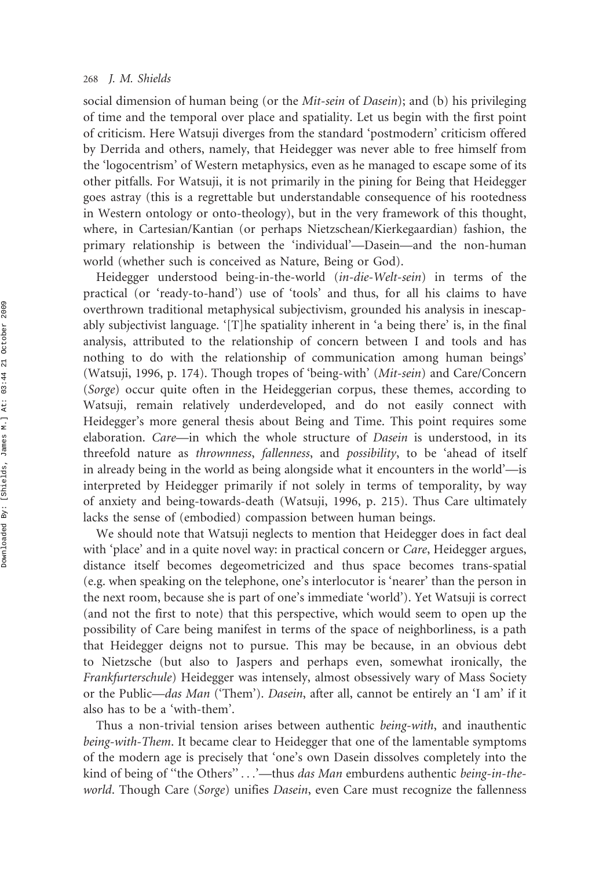social dimension of human being (or the *Mit-sein* of *Dasein*); and (b) his privileging of time and the temporal over place and spatiality. Let us begin with the first point of criticism. Here Watsuji diverges from the standard 'postmodern' criticism offered by Derrida and others, namely, that Heidegger was never able to free himself from the 'logocentrism' of Western metaphysics, even as he managed to escape some of its other pitfalls. For Watsuji, it is not primarily in the pining for Being that Heidegger goes astray (this is a regrettable but understandable consequence of his rootedness in Western ontology or onto-theology), but in the very framework of this thought, where, in Cartesian/Kantian (or perhaps Nietzschean/Kierkegaardian) fashion, the primary relationship is between the 'individual'—Dasein—and the non-human world (whether such is conceived as Nature, Being or God).

Heidegger understood being-in-the-world (in-die-Welt-sein) in terms of the practical (or 'ready-to-hand') use of 'tools' and thus, for all his claims to have overthrown traditional metaphysical subjectivism, grounded his analysis in inescapably subjectivist language. '[T]he spatiality inherent in 'a being there' is, in the final analysis, attributed to the relationship of concern between I and tools and has nothing to do with the relationship of communication among human beings' (Watsuji, 1996, p. 174). Though tropes of 'being-with' (Mit-sein) and Care/Concern (Sorge) occur quite often in the Heideggerian corpus, these themes, according to Watsuji, remain relatively underdeveloped, and do not easily connect with Heidegger's more general thesis about Being and Time. This point requires some elaboration. Care—in which the whole structure of Dasein is understood, in its threefold nature as thrownness, fallenness, and possibility, to be 'ahead of itself in already being in the world as being alongside what it encounters in the world'—is interpreted by Heidegger primarily if not solely in terms of temporality, by way of anxiety and being-towards-death (Watsuji, 1996, p. 215). Thus Care ultimately lacks the sense of (embodied) compassion between human beings.

We should note that Watsuji neglects to mention that Heidegger does in fact deal with 'place' and in a quite novel way: in practical concern or *Care*, Heidegger argues, distance itself becomes degeometricized and thus space becomes trans-spatial (e.g. when speaking on the telephone, one's interlocutor is 'nearer' than the person in the next room, because she is part of one's immediate 'world'). Yet Watsuji is correct (and not the first to note) that this perspective, which would seem to open up the possibility of Care being manifest in terms of the space of neighborliness, is a path that Heidegger deigns not to pursue. This may be because, in an obvious debt to Nietzsche (but also to Jaspers and perhaps even, somewhat ironically, the Frankfurterschule) Heidegger was intensely, almost obsessively wary of Mass Society or the Public—das Man ('Them'). Dasein, after all, cannot be entirely an 'I am' if it also has to be a 'with-them'.

Thus a non-trivial tension arises between authentic being-with, and inauthentic being-with-Them. It became clear to Heidegger that one of the lamentable symptoms of the modern age is precisely that 'one's own Dasein dissolves completely into the kind of being of "the Others" ...'—thus das Man emburdens authentic being-in-theworld. Though Care (Sorge) unifies Dasein, even Care must recognize the fallenness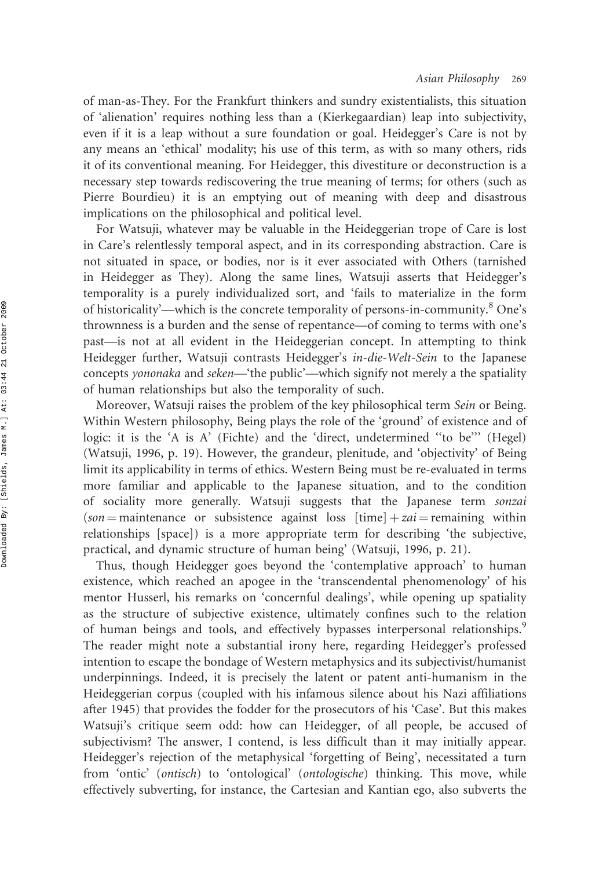of man-as-They. For the Frankfurt thinkers and sundry existentialists, this situation of 'alienation' requires nothing less than a (Kierkegaardian) leap into subjectivity, even if it is a leap without a sure foundation or goal. Heidegger's Care is not by any means an 'ethical' modality; his use of this term, as with so many others, rids it of its conventional meaning. For Heidegger, this divestiture or deconstruction is a necessary step towards rediscovering the true meaning of terms; for others (such as Pierre Bourdieu) it is an emptying out of meaning with deep and disastrous implications on the philosophical and political level.

For Watsuji, whatever may be valuable in the Heideggerian trope of Care is lost in Care's relentlessly temporal aspect, and in its corresponding abstraction. Care is not situated in space, or bodies, nor is it ever associated with Others (tarnished in Heidegger as They). Along the same lines, Watsuji asserts that Heidegger's temporality is a purely individualized sort, and 'fails to materialize in the form of historicality'—which is the concrete temporality of persons-in-community.<sup>8</sup> One's thrownness is a burden and the sense of repentance—of coming to terms with one's past—is not at all evident in the Heideggerian concept. In attempting to think Heidegger further, Watsuji contrasts Heidegger's in-die-Welt-Sein to the Japanese concepts yononaka and seken—'the public'—which signify not merely a the spatiality of human relationships but also the temporality of such.

Moreover, Watsuji raises the problem of the key philosophical term Sein or Being. Within Western philosophy, Being plays the role of the 'ground' of existence and of logic: it is the 'A is A' (Fichte) and the 'direct, undetermined "to be"' (Hegel) (Watsuji, 1996, p. 19). However, the grandeur, plenitude, and 'objectivity' of Being limit its applicability in terms of ethics. Western Being must be re-evaluated in terms more familiar and applicable to the Japanese situation, and to the condition of sociality more generally. Watsuji suggests that the Japanese term sonzai  $(son = \text{maintenance} \text{ or } \text{subsistency} \text{ against } \text{loss } [\text{time}] + zai = \text{remaining within}$ relationships [space]) is a more appropriate term for describing 'the subjective, practical, and dynamic structure of human being' (Watsuji, 1996, p. 21).

Thus, though Heidegger goes beyond the 'contemplative approach' to human existence, which reached an apogee in the 'transcendental phenomenology' of his mentor Husserl, his remarks on 'concernful dealings', while opening up spatiality as the structure of subjective existence, ultimately confines such to the relation of human beings and tools, and effectively bypasses interpersonal relationships.<sup>9</sup> The reader might note a substantial irony here, regarding Heidegger's professed intention to escape the bondage of Western metaphysics and its subjectivist/humanist underpinnings. Indeed, it is precisely the latent or patent anti-humanism in the Heideggerian corpus (coupled with his infamous silence about his Nazi affiliations after 1945) that provides the fodder for the prosecutors of his 'Case'. But this makes Watsuji's critique seem odd: how can Heidegger, of all people, be accused of subjectivism? The answer, I contend, is less difficult than it may initially appear. Heidegger's rejection of the metaphysical 'forgetting of Being', necessitated a turn from 'ontic' (ontisch) to 'ontological' (ontologische) thinking. This move, while effectively subverting, for instance, the Cartesian and Kantian ego, also subverts the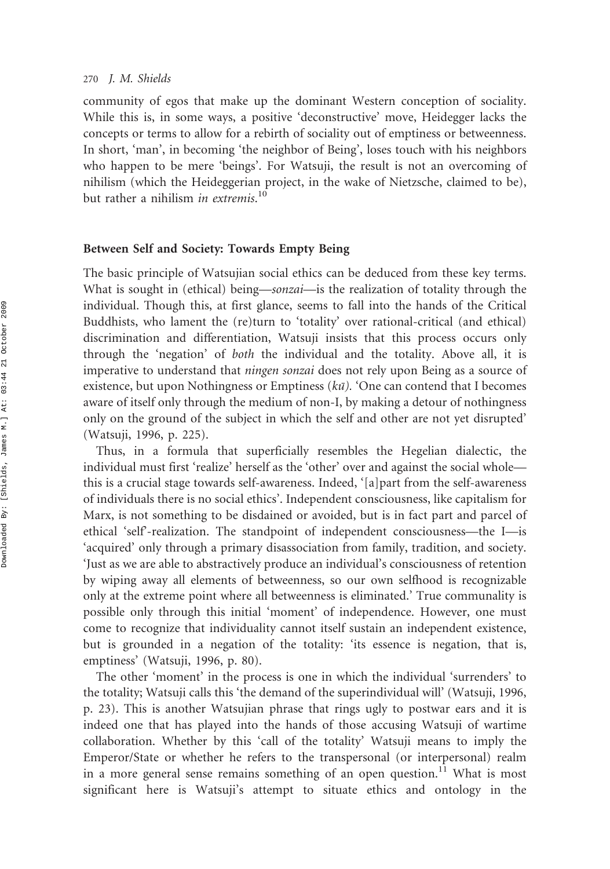community of egos that make up the dominant Western conception of sociality. While this is, in some ways, a positive 'deconstructive' move, Heidegger lacks the concepts or terms to allow for a rebirth of sociality out of emptiness or betweenness. In short, 'man', in becoming 'the neighbor of Being', loses touch with his neighbors who happen to be mere 'beings'. For Watsuji, the result is not an overcoming of nihilism (which the Heideggerian project, in the wake of Nietzsche, claimed to be), but rather a nihilism *in extremis*.<sup>10</sup>

#### Between Self and Society: Towards Empty Being

The basic principle of Watsujian social ethics can be deduced from these key terms. What is sought in (ethical) being—sonzai—is the realization of totality through the individual. Though this, at first glance, seems to fall into the hands of the Critical Buddhists, who lament the (re)turn to 'totality' over rational-critical (and ethical) discrimination and differentiation, Watsuji insists that this process occurs only through the 'negation' of both the individual and the totality. Above all, it is imperative to understand that *ningen sonzai* does not rely upon Being as a source of existence, but upon Nothingness or Emptiness  $(k\bar{u})$ . 'One can contend that I becomes aware of itself only through the medium of non-I, by making a detour of nothingness only on the ground of the subject in which the self and other are not yet disrupted' (Watsuji, 1996, p. 225).

Thus, in a formula that superficially resembles the Hegelian dialectic, the individual must first 'realize' herself as the 'other' over and against the social whole this is a crucial stage towards self-awareness. Indeed, '[a]part from the self-awareness of individuals there is no social ethics'. Independent consciousness, like capitalism for Marx, is not something to be disdained or avoided, but is in fact part and parcel of ethical 'self'-realization. The standpoint of independent consciousness—the I—is 'acquired' only through a primary disassociation from family, tradition, and society. 'Just as we are able to abstractively produce an individual's consciousness of retention by wiping away all elements of betweenness, so our own selfhood is recognizable only at the extreme point where all betweenness is eliminated.' True communality is possible only through this initial 'moment' of independence. However, one must come to recognize that individuality cannot itself sustain an independent existence, but is grounded in a negation of the totality: 'its essence is negation, that is, emptiness' (Watsuji, 1996, p. 80).

The other 'moment' in the process is one in which the individual 'surrenders' to the totality; Watsuji calls this 'the demand of the superindividual will' (Watsuji, 1996, p. 23). This is another Watsujian phrase that rings ugly to postwar ears and it is indeed one that has played into the hands of those accusing Watsuji of wartime collaboration. Whether by this 'call of the totality' Watsuji means to imply the Emperor/State or whether he refers to the transpersonal (or interpersonal) realm in a more general sense remains something of an open question.<sup>11</sup> What is most significant here is Watsuji's attempt to situate ethics and ontology in the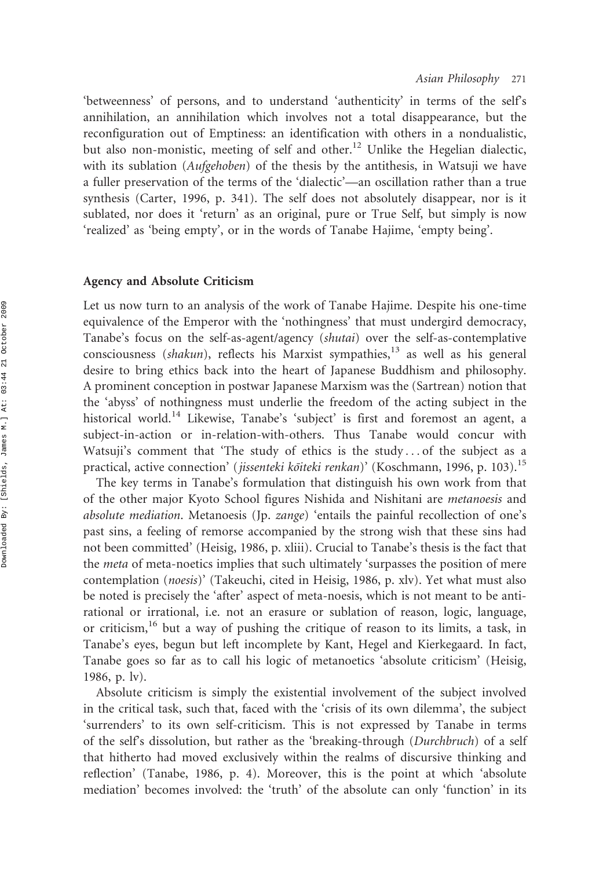'betweenness' of persons, and to understand 'authenticity' in terms of the self's annihilation, an annihilation which involves not a total disappearance, but the reconfiguration out of Emptiness: an identification with others in a nondualistic, but also non-monistic, meeting of self and other.<sup>12</sup> Unlike the Hegelian dialectic, with its sublation (Aufgehoben) of the thesis by the antithesis, in Watsuji we have a fuller preservation of the terms of the 'dialectic'—an oscillation rather than a true synthesis (Carter, 1996, p. 341). The self does not absolutely disappear, nor is it sublated, nor does it 'return' as an original, pure or True Self, but simply is now 'realized' as 'being empty', or in the words of Tanabe Hajime, 'empty being'.

#### Agency and Absolute Criticism

Let us now turn to an analysis of the work of Tanabe Hajime. Despite his one-time equivalence of the Emperor with the 'nothingness' that must undergird democracy, Tanabe's focus on the self-as-agent/agency (shutai) over the self-as-contemplative consciousness (shakun), reflects his Marxist sympathies, $13$  as well as his general desire to bring ethics back into the heart of Japanese Buddhism and philosophy. A prominent conception in postwar Japanese Marxism was the (Sartrean) notion that the 'abyss' of nothingness must underlie the freedom of the acting subject in the historical world.<sup>14</sup> Likewise, Tanabe's 'subject' is first and foremost an agent, a subject-in-action or in-relation-with-others. Thus Tanabe would concur with Watsuji's comment that 'The study of ethics is the study ... of the subject as a practical, active connection' (jissenteki koiteki renkan)' (Koschmann, 1996, p. 103).<sup>15</sup>

The key terms in Tanabe's formulation that distinguish his own work from that of the other major Kyoto School figures Nishida and Nishitani are metanoesis and absolute mediation. Metanoesis (Jp. zange) 'entails the painful recollection of one's past sins, a feeling of remorse accompanied by the strong wish that these sins had not been committed' (Heisig, 1986, p. xliii). Crucial to Tanabe's thesis is the fact that the meta of meta-noetics implies that such ultimately 'surpasses the position of mere contemplation (noesis)' (Takeuchi, cited in Heisig, 1986, p. xlv). Yet what must also be noted is precisely the 'after' aspect of meta-noesis, which is not meant to be antirational or irrational, i.e. not an erasure or sublation of reason, logic, language, or criticism,<sup>16</sup> but a way of pushing the critique of reason to its limits, a task, in Tanabe's eyes, begun but left incomplete by Kant, Hegel and Kierkegaard. In fact, Tanabe goes so far as to call his logic of metanoetics 'absolute criticism' (Heisig, 1986, p. lv).

Absolute criticism is simply the existential involvement of the subject involved in the critical task, such that, faced with the 'crisis of its own dilemma', the subject 'surrenders' to its own self-criticism. This is not expressed by Tanabe in terms of the self's dissolution, but rather as the 'breaking-through (Durchbruch) of a self that hitherto had moved exclusively within the realms of discursive thinking and reflection' (Tanabe, 1986, p. 4). Moreover, this is the point at which 'absolute mediation' becomes involved: the 'truth' of the absolute can only 'function' in its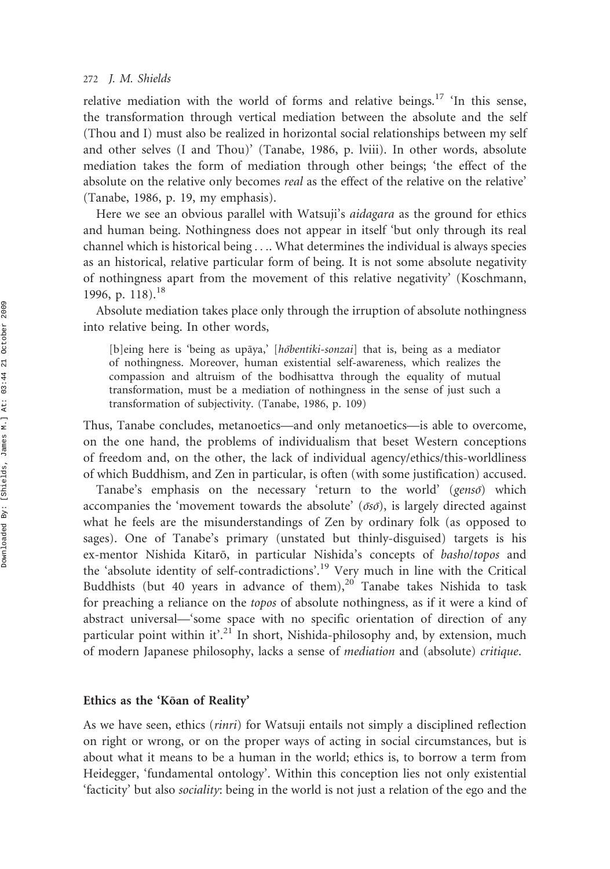relative mediation with the world of forms and relative beings.<sup>17</sup> 'In this sense, the transformation through vertical mediation between the absolute and the self (Thou and I) must also be realized in horizontal social relationships between my self and other selves (I and Thou)' (Tanabe, 1986, p. lviii). In other words, absolute mediation takes the form of mediation through other beings; 'the effect of the absolute on the relative only becomes real as the effect of the relative on the relative' (Tanabe, 1986, p. 19, my emphasis).

Here we see an obvious parallel with Watsuji's *aidagara* as the ground for ethics and human being. Nothingness does not appear in itself 'but only through its real channel which is historical being .... What determines the individual is always species as an historical, relative particular form of being. It is not some absolute negativity of nothingness apart from the movement of this relative negativity' (Koschmann, 1996, p. 118).<sup>18</sup>

Absolute mediation takes place only through the irruption of absolute nothingness into relative being. In other words,

[b]eing here is 'being as upāya,' [hōbentiki-sonzai] that is, being as a mediator of nothingness. Moreover, human existential self-awareness, which realizes the compassion and altruism of the bodhisattva through the equality of mutual transformation, must be a mediation of nothingness in the sense of just such a transformation of subjectivity. (Tanabe, 1986, p. 109)

Thus, Tanabe concludes, metanoetics—and only metanoetics—is able to overcome, on the one hand, the problems of individualism that beset Western conceptions of freedom and, on the other, the lack of individual agency/ethics/this-worldliness of which Buddhism, and Zen in particular, is often (with some justification) accused.

Tanabe's emphasis on the necessary 'return to the world' (gensō) which accompanies the 'movement towards the absolute' ( $\bar{\sigma}\bar{\sigma}$ ), is largely directed against what he feels are the misunderstandings of Zen by ordinary folk (as opposed to sages). One of Tanabe's primary (unstated but thinly-disguised) targets is his ex-mentor Nishida Kitarō, in particular Nishida's concepts of basho/topos and the 'absolute identity of self-contradictions'.<sup>19</sup> Very much in line with the Critical Buddhists (but 40 years in advance of them),<sup>20</sup> Tanabe takes Nishida to task for preaching a reliance on the topos of absolute nothingness, as if it were a kind of abstract universal—'some space with no specific orientation of direction of any particular point within it'.<sup>21</sup> In short, Nishida-philosophy and, by extension, much of modern Japanese philosophy, lacks a sense of mediation and (absolute) critique.

#### Ethics as the 'Kōan of Reality'

As we have seen, ethics (*rinri*) for Watsuji entails not simply a disciplined reflection on right or wrong, or on the proper ways of acting in social circumstances, but is about what it means to be a human in the world; ethics is, to borrow a term from Heidegger, 'fundamental ontology'. Within this conception lies not only existential 'facticity' but also sociality: being in the world is not just a relation of the ego and the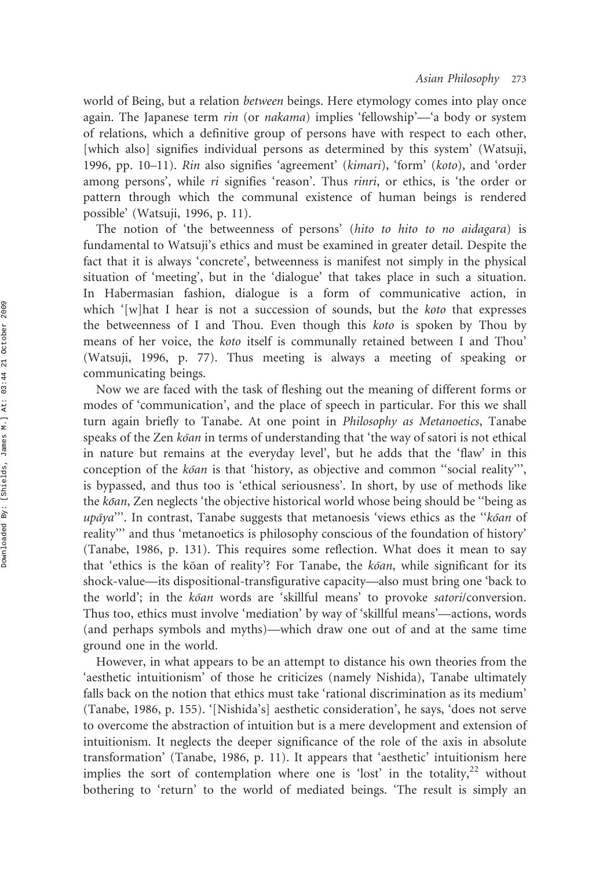world of Being, but a relation between beings. Here etymology comes into play once again. The Japanese term *rin* (or *nakama*) implies 'fellowship'—'a body or system of relations, which a definitive group of persons have with respect to each other, [which also] signifies individual persons as determined by this system' (Watsuji, 1996, pp. 10–11). Rin also signifies 'agreement' (kimari), 'form' (koto), and 'order among persons', while ri signifies 'reason'. Thus rinri, or ethics, is 'the order or pattern through which the communal existence of human beings is rendered possible' (Watsuji, 1996, p. 11).

The notion of 'the betweenness of persons' (hito to hito to no aidagara) is fundamental to Watsuji's ethics and must be examined in greater detail. Despite the fact that it is always 'concrete', betweenness is manifest not simply in the physical situation of 'meeting', but in the 'dialogue' that takes place in such a situation. In Habermasian fashion, dialogue is a form of communicative action, in which  $\lceil w \rceil$  hat I hear is not a succession of sounds, but the *koto* that expresses the betweenness of I and Thou. Even though this koto is spoken by Thou by means of her voice, the koto itself is communally retained between I and Thou' (Watsuji, 1996, p. 77). Thus meeting is always a meeting of speaking or communicating beings.

Now we are faced with the task of fleshing out the meaning of different forms or modes of 'communication', and the place of speech in particular. For this we shall turn again briefly to Tanabe. At one point in *Philosophy as Metanoetics*, Tanabe speaks of the Zen  $k\bar{o}an$  in terms of understanding that 'the way of satori is not ethical in nature but remains at the everyday level', but he adds that the 'flaw' in this conception of the  $k\bar{o}an$  is that 'history, as objective and common "social reality", is bypassed, and thus too is 'ethical seriousness'. In short, by use of methods like the  $k\bar{o}an$ , Zen neglects 'the objective historical world whose being should be "being as upāya"'. In contrast, Tanabe suggests that metanoesis 'views ethics as the "kōan of reality''' and thus 'metanoetics is philosophy conscious of the foundation of history' (Tanabe, 1986, p. 131). This requires some reflection. What does it mean to say that 'ethics is the koan of reality'? For Tanabe, the  $k\bar{o}an$ , while significant for its shock-value—its dispositional-transfigurative capacity—also must bring one 'back to the world'; in the *ko*an words are 'skillful means' to provoke *satori*/conversion. Thus too, ethics must involve 'mediation' by way of 'skillful means'—actions, words (and perhaps symbols and myths)—which draw one out of and at the same time ground one in the world.

However, in what appears to be an attempt to distance his own theories from the 'aesthetic intuitionism' of those he criticizes (namely Nishida), Tanabe ultimately falls back on the notion that ethics must take 'rational discrimination as its medium' (Tanabe, 1986, p. 155). '[Nishida's] aesthetic consideration', he says, 'does not serve to overcome the abstraction of intuition but is a mere development and extension of intuitionism. It neglects the deeper significance of the role of the axis in absolute transformation' (Tanabe, 1986, p. 11). It appears that 'aesthetic' intuitionism here implies the sort of contemplation where one is 'lost' in the totality,<sup>22</sup> without bothering to 'return' to the world of mediated beings. 'The result is simply an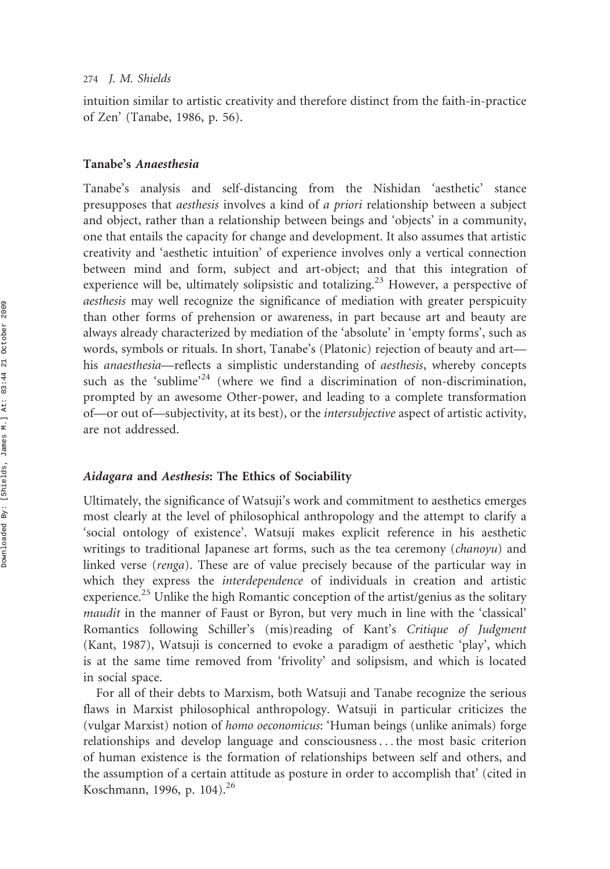intuition similar to artistic creativity and therefore distinct from the faith-in-practice of Zen' (Tanabe, 1986, p. 56).

#### Tanabe's Anaesthesia

Tanabe's analysis and self-distancing from the Nishidan 'aesthetic' stance presupposes that aesthesis involves a kind of a priori relationship between a subject and object, rather than a relationship between beings and 'objects' in a community, one that entails the capacity for change and development. It also assumes that artistic creativity and 'aesthetic intuition' of experience involves only a vertical connection between mind and form, subject and art-object; and that this integration of experience will be, ultimately solipsistic and totalizing.<sup>23</sup> However, a perspective of aesthesis may well recognize the significance of mediation with greater perspicuity than other forms of prehension or awareness, in part because art and beauty are always already characterized by mediation of the 'absolute' in 'empty forms', such as words, symbols or rituals. In short, Tanabe's (Platonic) rejection of beauty and art his *anaesthesia*—reflects a simplistic understanding of *aesthesis*, whereby concepts such as the 'sublime'<sup>24</sup> (where we find a discrimination of non-discrimination, prompted by an awesome Other-power, and leading to a complete transformation of—or out of—subjectivity, at its best), or the intersubjective aspect of artistic activity, are not addressed.

#### Aidagara and Aesthesis: The Ethics of Sociability

Ultimately, the significance of Watsuji's work and commitment to aesthetics emerges most clearly at the level of philosophical anthropology and the attempt to clarify a 'social ontology of existence'. Watsuji makes explicit reference in his aesthetic writings to traditional Japanese art forms, such as the tea ceremony *(chanoyu)* and linked verse (renga). These are of value precisely because of the particular way in which they express the interdependence of individuals in creation and artistic experience.<sup>25</sup> Unlike the high Romantic conception of the artist/genius as the solitary maudit in the manner of Faust or Byron, but very much in line with the 'classical' Romantics following Schiller's (mis)reading of Kant's Critique of Judgment (Kant, 1987), Watsuji is concerned to evoke a paradigm of aesthetic 'play', which is at the same time removed from 'frivolity' and solipsism, and which is located in social space.

For all of their debts to Marxism, both Watsuji and Tanabe recognize the serious flaws in Marxist philosophical anthropology. Watsuji in particular criticizes the (vulgar Marxist) notion of homo oeconomicus: 'Human beings (unlike animals) forge relationships and develop language and consciousness... the most basic criterion of human existence is the formation of relationships between self and others, and the assumption of a certain attitude as posture in order to accomplish that' (cited in Koschmann, 1996, p. 104).<sup>26</sup>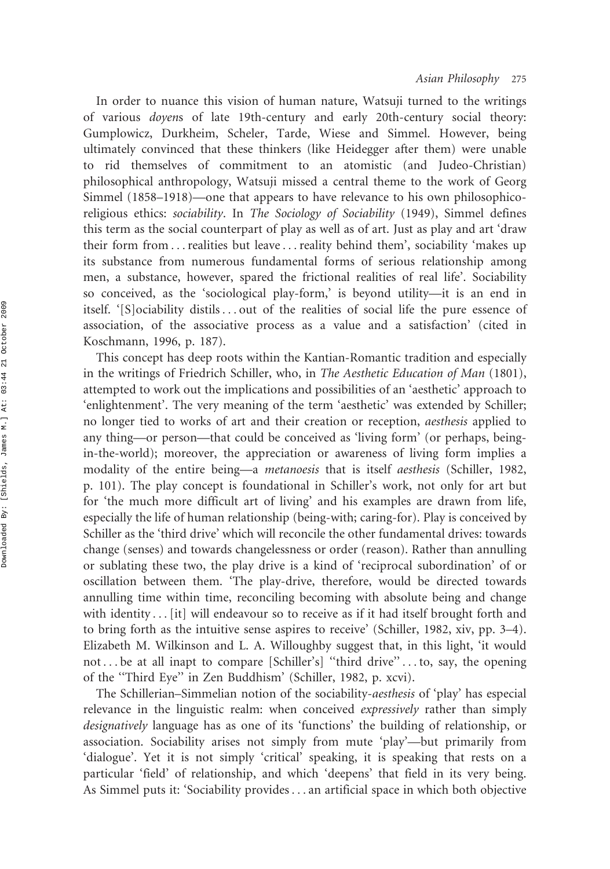In order to nuance this vision of human nature, Watsuji turned to the writings of various doyens of late 19th-century and early 20th-century social theory: Gumplowicz, Durkheim, Scheler, Tarde, Wiese and Simmel. However, being ultimately convinced that these thinkers (like Heidegger after them) were unable to rid themselves of commitment to an atomistic (and Judeo-Christian) philosophical anthropology, Watsuji missed a central theme to the work of Georg Simmel (1858–1918)—one that appears to have relevance to his own philosophicoreligious ethics: sociability. In The Sociology of Sociability (1949), Simmel defines this term as the social counterpart of play as well as of art. Just as play and art 'draw their form from ...realities but leave ...reality behind them', sociability 'makes up its substance from numerous fundamental forms of serious relationship among men, a substance, however, spared the frictional realities of real life'. Sociability so conceived, as the 'sociological play-form,' is beyond utility—it is an end in itself. '[S]ociability distils... out of the realities of social life the pure essence of association, of the associative process as a value and a satisfaction' (cited in Koschmann, 1996, p. 187).

This concept has deep roots within the Kantian-Romantic tradition and especially in the writings of Friedrich Schiller, who, in The Aesthetic Education of Man (1801), attempted to work out the implications and possibilities of an 'aesthetic' approach to 'enlightenment'. The very meaning of the term 'aesthetic' was extended by Schiller; no longer tied to works of art and their creation or reception, aesthesis applied to any thing—or person—that could be conceived as 'living form' (or perhaps, beingin-the-world); moreover, the appreciation or awareness of living form implies a modality of the entire being—a *metanoesis* that is itself *aesthesis* (Schiller, 1982, p. 101). The play concept is foundational in Schiller's work, not only for art but for 'the much more difficult art of living' and his examples are drawn from life, especially the life of human relationship (being-with; caring-for). Play is conceived by Schiller as the 'third drive' which will reconcile the other fundamental drives: towards change (senses) and towards changelessness or order (reason). Rather than annulling or sublating these two, the play drive is a kind of 'reciprocal subordination' of or oscillation between them. 'The play-drive, therefore, would be directed towards annulling time within time, reconciling becoming with absolute being and change with identity ...[it] will endeavour so to receive as if it had itself brought forth and to bring forth as the intuitive sense aspires to receive' (Schiller, 1982, xiv, pp. 3–4). Elizabeth M. Wilkinson and L. A. Willoughby suggest that, in this light, 'it would not ... be at all inapt to compare [Schiller's] ''third drive'' ... to, say, the opening of the ''Third Eye'' in Zen Buddhism' (Schiller, 1982, p. xcvi).

The Schillerian–Simmelian notion of the sociability-aesthesis of 'play' has especial relevance in the linguistic realm: when conceived *expressively* rather than simply designatively language has as one of its 'functions' the building of relationship, or association. Sociability arises not simply from mute 'play'—but primarily from 'dialogue'. Yet it is not simply 'critical' speaking, it is speaking that rests on a particular 'field' of relationship, and which 'deepens' that field in its very being. As Simmel puts it: 'Sociability provides... an artificial space in which both objective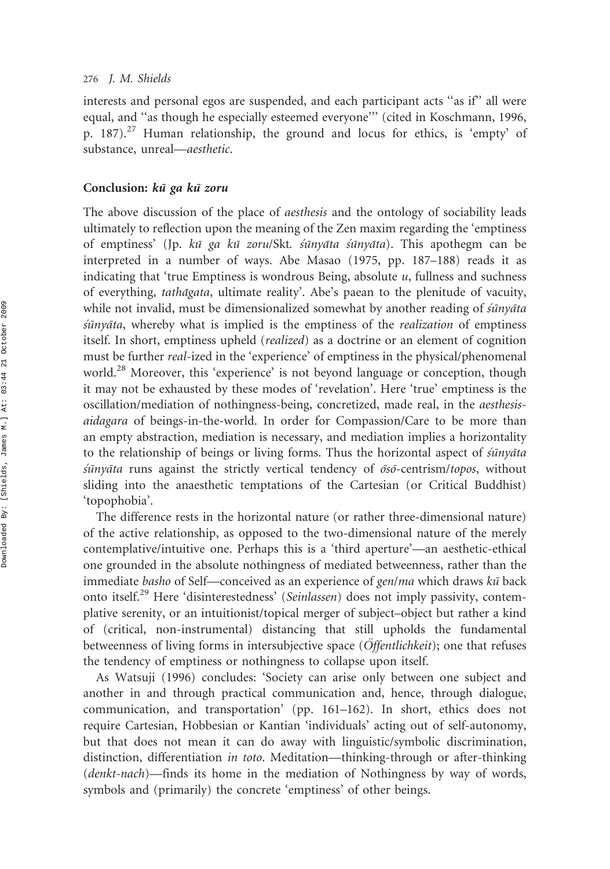interests and personal egos are suspended, and each participant acts ''as if'' all were equal, and ''as though he especially esteemed everyone''' (cited in Koschmann, 1996, p. 187).<sup>27</sup> Human relationship, the ground and locus for ethics, is 'empty' of substance, unreal—aesthetic.

#### Conclusion: kū ga kū zoru

The above discussion of the place of aesthesis and the ontology of sociability leads ultimately to reflection upon the meaning of the Zen maxim regarding the 'emptiness of emptiness' (Jp. kū ga kū zoru/Skt. s´ūnyāta s´ūnyāta). This apothegm can be interpreted in a number of ways. Abe Masao (1975, pp. 187–188) reads it as indicating that 'true Emptiness is wondrous Being, absolute  $u$ , fullness and suchness of everything, *tathagata*, ultimate reality'. Abe's paean to the plenitude of vacuity, while not invalid, must be dimensionalized somewhat by another reading of *śūnyāta*  $s$ *unyata*, whereby what is implied is the emptiness of the *realization* of emptiness itself. In short, emptiness upheld *(realized)* as a doctrine or an element of cognition must be further *real-ized* in the 'experience' of emptiness in the physical/phenomenal world.<sup>28</sup> Moreover, this 'experience' is not beyond language or conception, though it may not be exhausted by these modes of 'revelation'. Here 'true' emptiness is the oscillation/mediation of nothingness-being, concretized, made real, in the aesthesisaidagara of beings-in-the-world. In order for Compassion/Care to be more than an empty abstraction, mediation is necessary, and mediation implies a horizontality to the relationship of beings or living forms. Thus the horizontal aspect of  $\sin y \, dt$  $s$ *unyata* runs against the strictly vertical tendency of  $\bar{\sigma}$ so<sup>-</sup>centrism/topos, without sliding into the anaesthetic temptations of the Cartesian (or Critical Buddhist) 'topophobia'.

The difference rests in the horizontal nature (or rather three-dimensional nature) of the active relationship, as opposed to the two-dimensional nature of the merely contemplative/intuitive one. Perhaps this is a 'third aperture'—an aesthetic-ethical one grounded in the absolute nothingness of mediated betweenness, rather than the immediate basho of Self—conceived as an experience of gen/ma which draws ku back onto itself.<sup>29</sup> Here 'disinterestedness' (Seinlassen) does not imply passivity, contemplative serenity, or an intuitionist/topical merger of subject–object but rather a kind of (critical, non-instrumental) distancing that still upholds the fundamental betweenness of living forms in intersubjective space (*Offentlichkeit*); one that refuses the tendency of emptiness or nothingness to collapse upon itself.

As Watsuji (1996) concludes: 'Society can arise only between one subject and another in and through practical communication and, hence, through dialogue, communication, and transportation' (pp. 161–162). In short, ethics does not require Cartesian, Hobbesian or Kantian 'individuals' acting out of self-autonomy, but that does not mean it can do away with linguistic/symbolic discrimination, distinction, differentiation in toto. Meditation-thinking-through or after-thinking (denkt-nach)—finds its home in the mediation of Nothingness by way of words, symbols and (primarily) the concrete 'emptiness' of other beings.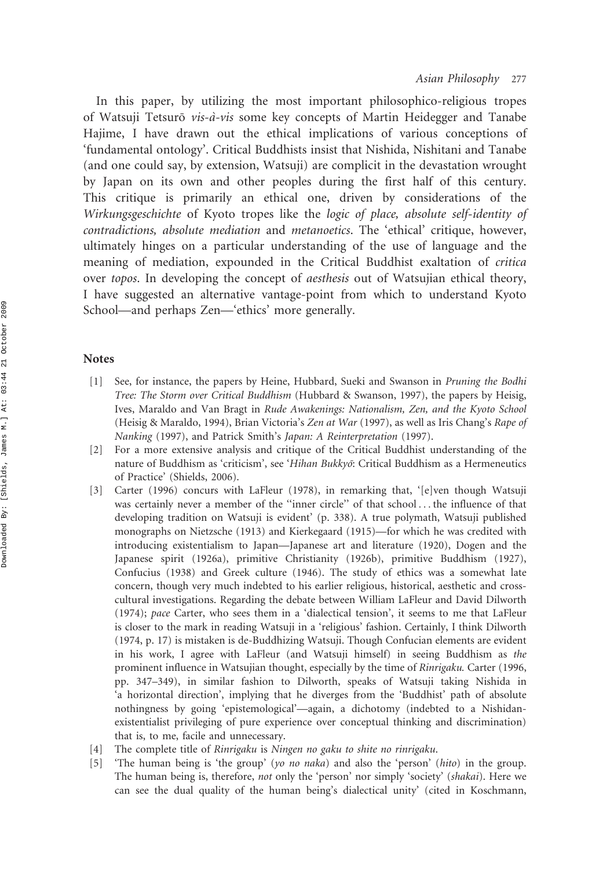In this paper, by utilizing the most important philosophico-religious tropes of Watsuji Tetsurō *vis-à-vis* some key concepts of Martin Heidegger and Tanabe Hajime, I have drawn out the ethical implications of various conceptions of 'fundamental ontology'. Critical Buddhists insist that Nishida, Nishitani and Tanabe (and one could say, by extension, Watsuji) are complicit in the devastation wrought by Japan on its own and other peoples during the first half of this century. This critique is primarily an ethical one, driven by considerations of the Wirkungsgeschichte of Kyoto tropes like the logic of place, absolute self-identity of contradictions, absolute mediation and metanoetics. The 'ethical' critique, however, ultimately hinges on a particular understanding of the use of language and the meaning of mediation, expounded in the Critical Buddhist exaltation of critica over topos. In developing the concept of aesthesis out of Watsujian ethical theory, I have suggested an alternative vantage-point from which to understand Kyoto School—and perhaps Zen—'ethics' more generally.

#### Notes

- [1] See, for instance, the papers by Heine, Hubbard, Sueki and Swanson in Pruning the Bodhi Tree: The Storm over Critical Buddhism (Hubbard & Swanson, 1997), the papers by Heisig, Ives, Maraldo and Van Bragt in Rude Awakenings: Nationalism, Zen, and the Kyoto School (Heisig & Maraldo, 1994), Brian Victoria's Zen at War (1997), as well as Iris Chang's Rape of Nanking (1997), and Patrick Smith's Japan: A Reinterpretation (1997).
- [2] For a more extensive analysis and critique of the Critical Buddhist understanding of the nature of Buddhism as 'criticism', see 'Hihan Bukkyō: Critical Buddhism as a Hermeneutics of Practice' (Shields, 2006).
- [3] Carter (1996) concurs with LaFleur (1978), in remarking that, '[e]ven though Watsuji was certainly never a member of the ''inner circle'' of that school ... the influence of that developing tradition on Watsuji is evident' (p. 338). A true polymath, Watsuji published monographs on Nietzsche (1913) and Kierkegaard (1915)—for which he was credited with introducing existentialism to Japan—Japanese art and literature (1920), Dogen and the Japanese spirit (1926a), primitive Christianity (1926b), primitive Buddhism (1927), Confucius (1938) and Greek culture (1946). The study of ethics was a somewhat late concern, though very much indebted to his earlier religious, historical, aesthetic and crosscultural investigations. Regarding the debate between William LaFleur and David Dilworth (1974); pace Carter, who sees them in a 'dialectical tension', it seems to me that LaFleur is closer to the mark in reading Watsuji in a 'religious' fashion. Certainly, I think Dilworth (1974, p. 17) is mistaken is de-Buddhizing Watsuji. Though Confucian elements are evident in his work, I agree with LaFleur (and Watsuji himself) in seeing Buddhism as the prominent influence in Watsujian thought, especially by the time of Rinrigaku. Carter (1996, pp. 347–349), in similar fashion to Dilworth, speaks of Watsuji taking Nishida in 'a horizontal direction', implying that he diverges from the 'Buddhist' path of absolute nothingness by going 'epistemological'—again, a dichotomy (indebted to a Nishidanexistentialist privileging of pure experience over conceptual thinking and discrimination) that is, to me, facile and unnecessary.
- [4] The complete title of Rinrigaku is Ningen no gaku to shite no rinrigaku.
- [5] 'The human being is 'the group' (yo no naka) and also the 'person' (hito) in the group. The human being is, therefore, not only the 'person' nor simply 'society' (shakai). Here we can see the dual quality of the human being's dialectical unity' (cited in Koschmann,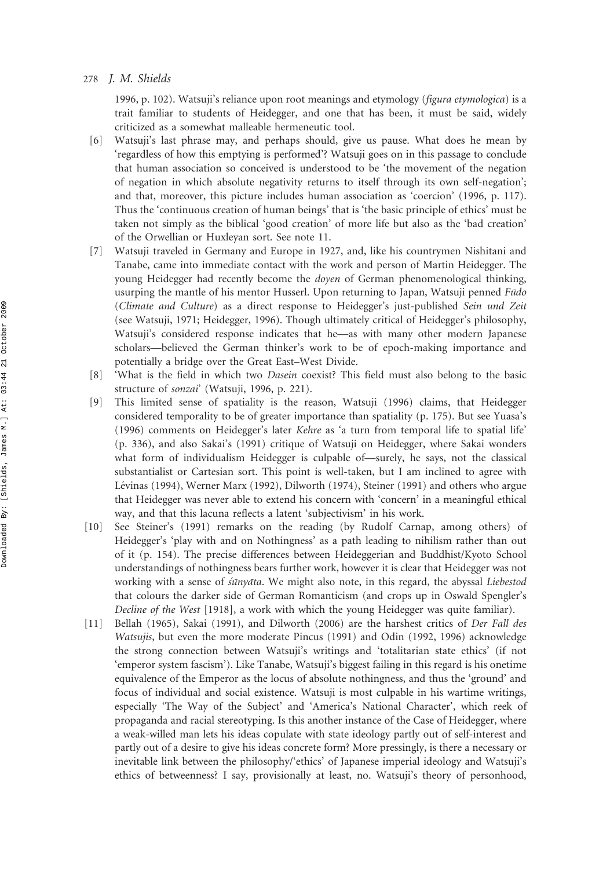1996, p. 102). Watsuji's reliance upon root meanings and etymology (figura etymologica) is a trait familiar to students of Heidegger, and one that has been, it must be said, widely criticized as a somewhat malleable hermeneutic tool.

- [6] Watsuji's last phrase may, and perhaps should, give us pause. What does he mean by 'regardless of how this emptying is performed'? Watsuji goes on in this passage to conclude that human association so conceived is understood to be 'the movement of the negation of negation in which absolute negativity returns to itself through its own self-negation'; and that, moreover, this picture includes human association as 'coercion' (1996, p. 117). Thus the 'continuous creation of human beings' that is 'the basic principle of ethics' must be taken not simply as the biblical 'good creation' of more life but also as the 'bad creation' of the Orwellian or Huxleyan sort. See note 11.
- [7] Watsuji traveled in Germany and Europe in 1927, and, like his countrymen Nishitani and Tanabe, came into immediate contact with the work and person of Martin Heidegger. The young Heidegger had recently become the *doyen* of German phenomenological thinking, usurping the mantle of his mentor Husserl. Upon returning to Japan, Watsuji penned Fudo (Climate and Culture) as a direct response to Heidegger's just-published Sein und Zeit (see Watsuji, 1971; Heidegger, 1996). Though ultimately critical of Heidegger's philosophy, Watsuji's considered response indicates that he—as with many other modern Japanese scholars—believed the German thinker's work to be of epoch-making importance and potentially a bridge over the Great East–West Divide.
- [8] 'What is the field in which two *Dasein* coexist? This field must also belong to the basic structure of sonzai' (Watsuji, 1996, p. 221).
- [9] This limited sense of spatiality is the reason, Watsuji (1996) claims, that Heidegger considered temporality to be of greater importance than spatiality (p. 175). But see Yuasa's (1996) comments on Heidegger's later Kehre as 'a turn from temporal life to spatial life' (p. 336), and also Sakai's (1991) critique of Watsuji on Heidegger, where Sakai wonders what form of individualism Heidegger is culpable of—surely, he says, not the classical substantialist or Cartesian sort. This point is well-taken, but I am inclined to agree with Lévinas (1994), Werner Marx (1992), Dilworth (1974), Steiner (1991) and others who argue that Heidegger was never able to extend his concern with 'concern' in a meaningful ethical way, and that this lacuna reflects a latent 'subjectivism' in his work.
- [10] See Steiner's (1991) remarks on the reading (by Rudolf Carnap, among others) of Heidegger's 'play with and on Nothingness' as a path leading to nihilism rather than out of it (p. 154). The precise differences between Heideggerian and Buddhist/Kyoto School understandings of nothingness bears further work, however it is clear that Heidegger was not working with a sense of *s´ūnyāta*. We might also note, in this regard, the abyssal *Liebestod* that colours the darker side of German Romanticism (and crops up in Oswald Spengler's Decline of the West [1918], a work with which the young Heidegger was quite familiar).
- [11] Bellah (1965), Sakai (1991), and Dilworth (2006) are the harshest critics of *Der Fall des* Watsujis, but even the more moderate Pincus (1991) and Odin (1992, 1996) acknowledge the strong connection between Watsuji's writings and 'totalitarian state ethics' (if not 'emperor system fascism'). Like Tanabe, Watsuji's biggest failing in this regard is his onetime equivalence of the Emperor as the locus of absolute nothingness, and thus the 'ground' and focus of individual and social existence. Watsuji is most culpable in his wartime writings, especially 'The Way of the Subject' and 'America's National Character', which reek of propaganda and racial stereotyping. Is this another instance of the Case of Heidegger, where a weak-willed man lets his ideas copulate with state ideology partly out of self-interest and partly out of a desire to give his ideas concrete form? More pressingly, is there a necessary or inevitable link between the philosophy/'ethics' of Japanese imperial ideology and Watsuji's ethics of betweenness? I say, provisionally at least, no. Watsuji's theory of personhood,

<sup>278</sup> J. M. Shields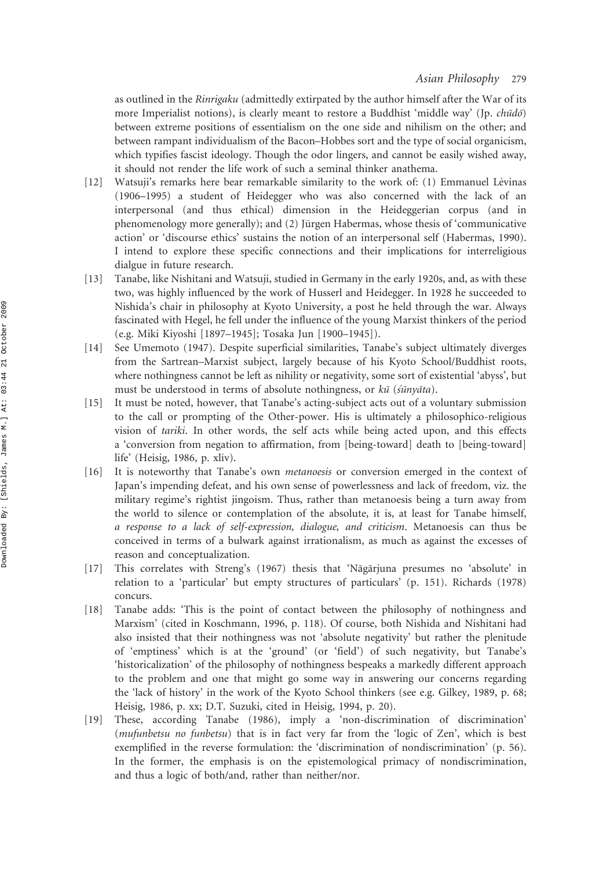as outlined in the Rinrigaku (admittedly extirpated by the author himself after the War of its more Imperialist notions), is clearly meant to restore a Buddhist 'middle way' (Jp. *chudo*̄) between extreme positions of essentialism on the one side and nihilism on the other; and between rampant individualism of the Bacon–Hobbes sort and the type of social organicism, which typifies fascist ideology. Though the odor lingers, and cannot be easily wished away, it should not render the life work of such a seminal thinker anathema.

- [12] Watsuji's remarks here bear remarkable similarity to the work of: (1) Emmanuel Lévinas (1906–1995) a student of Heidegger who was also concerned with the lack of an interpersonal (and thus ethical) dimension in the Heideggerian corpus (and in phenomenology more generally); and (2) Jürgen Habermas, whose thesis of 'communicative action' or 'discourse ethics' sustains the notion of an interpersonal self (Habermas, 1990). I intend to explore these specific connections and their implications for interreligious dialgue in future research.
- [13] Tanabe, like Nishitani and Watsuji, studied in Germany in the early 1920s, and, as with these two, was highly influenced by the work of Husserl and Heidegger. In 1928 he succeeded to Nishida's chair in philosophy at Kyoto University, a post he held through the war. Always fascinated with Hegel, he fell under the influence of the young Marxist thinkers of the period (e.g. Miki Kiyoshi [1897–1945]; Tosaka Jun [1900–1945]).
- [14] See Umemoto (1947). Despite superficial similarities, Tanabe's subject ultimately diverges from the Sartrean–Marxist subject, largely because of his Kyoto School/Buddhist roots, where nothingness cannot be left as nihility or negativity, some sort of existential 'abyss', but must be understood in terms of absolute nothingness, or  $k\bar{u}$  (s $\bar{u}n\bar{v}$  $\bar{a}ta$ ).
- [15] It must be noted, however, that Tanabe's acting-subject acts out of a voluntary submission to the call or prompting of the Other-power. His is ultimately a philosophico-religious vision of tariki. In other words, the self acts while being acted upon, and this effects a 'conversion from negation to affirmation, from [being-toward] death to [being-toward] life' (Heisig, 1986, p. xliv).
- [16] It is noteworthy that Tanabe's own metanoesis or conversion emerged in the context of Japan's impending defeat, and his own sense of powerlessness and lack of freedom, viz. the military regime's rightist jingoism. Thus, rather than metanoesis being a turn away from the world to silence or contemplation of the absolute, it is, at least for Tanabe himself, a response to a lack of self-expression, dialogue, and criticism. Metanoesis can thus be conceived in terms of a bulwark against irrationalism, as much as against the excesses of reason and conceptualization.
- [17] This correlates with Streng's (1967) thesis that 'Nāgārjuna presumes no 'absolute' in relation to a 'particular' but empty structures of particulars' (p. 151). Richards (1978) concurs.
- [18] Tanabe adds: 'This is the point of contact between the philosophy of nothingness and Marxism' (cited in Koschmann, 1996, p. 118). Of course, both Nishida and Nishitani had also insisted that their nothingness was not 'absolute negativity' but rather the plenitude of 'emptiness' which is at the 'ground' (or 'field') of such negativity, but Tanabe's 'historicalization' of the philosophy of nothingness bespeaks a markedly different approach to the problem and one that might go some way in answering our concerns regarding the 'lack of history' in the work of the Kyoto School thinkers (see e.g. Gilkey, 1989, p. 68; Heisig, 1986, p. xx; D.T. Suzuki, cited in Heisig, 1994, p. 20).
- [19] These, according Tanabe (1986), imply a 'non-discrimination of discrimination' (mufunbetsu no funbetsu) that is in fact very far from the 'logic of Zen', which is best exemplified in the reverse formulation: the 'discrimination of nondiscrimination' (p. 56). In the former, the emphasis is on the epistemological primacy of nondiscrimination, and thus a logic of both/and, rather than neither/nor.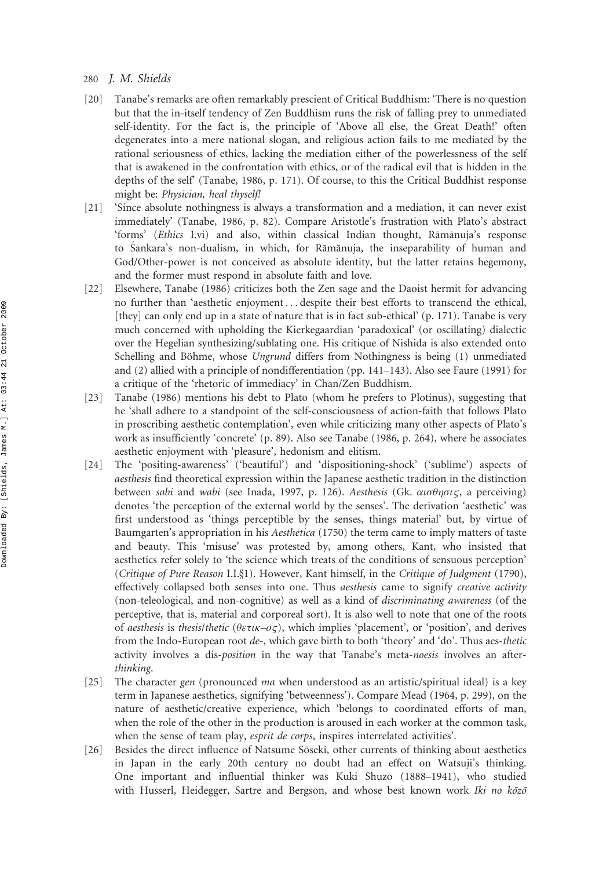- [20] Tanabe's remarks are often remarkably prescient of Critical Buddhism: 'There is no question but that the in-itself tendency of Zen Buddhism runs the risk of falling prey to unmediated self-identity. For the fact is, the principle of 'Above all else, the Great Death!' often degenerates into a mere national slogan, and religious action fails to me mediated by the rational seriousness of ethics, lacking the mediation either of the powerlessness of the self that is awakened in the confrontation with ethics, or of the radical evil that is hidden in the depths of the self' (Tanabe, 1986, p. 171). Of course, to this the Critical Buddhist response might be: Physician, heal thyself!
- [21] 'Since absolute nothingness is always a transformation and a mediation, it can never exist immediately' (Tanabe, 1986, p. 82). Compare Aristotle's frustration with Plato's abstract 'forms' (Ethics I.vi) and also, within classical Indian thought, Rāmānuja's response to Sankara's non-dualism, in which, for Ramanuja, the inseparability of human and God/Other-power is not conceived as absolute identity, but the latter retains hegemony, and the former must respond in absolute faith and love.
- [22] Elsewhere, Tanabe (1986) criticizes both the Zen sage and the Daoist hermit for advancing no further than 'aesthetic enjoyment ... despite their best efforts to transcend the ethical, [they] can only end up in a state of nature that is in fact sub-ethical' (p. 171). Tanabe is very much concerned with upholding the Kierkegaardian 'paradoxical' (or oscillating) dialectic over the Hegelian synthesizing/sublating one. His critique of Nishida is also extended onto Schelling and Böhme, whose Ungrund differs from Nothingness is being (1) unmediated and (2) allied with a principle of nondifferentiation (pp. 141–143). Also see Faure (1991) for a critique of the 'rhetoric of immediacy' in Chan/Zen Buddhism.
- [23] Tanabe (1986) mentions his debt to Plato (whom he prefers to Plotinus), suggesting that he 'shall adhere to a standpoint of the self-consciousness of action-faith that follows Plato in proscribing aesthetic contemplation', even while criticizing many other aspects of Plato's work as insufficiently 'concrete' (p. 89). Also see Tanabe (1986, p. 264), where he associates aesthetic enjoyment with 'pleasure', hedonism and elitism.
- [24] The 'positing-awareness' ('beautiful') and 'dispositioning-shock' ('sublime') aspects of aesthesis find theoretical expression within the Japanese aesthetic tradition in the distinction between sabi and wabi (see Inada, 1997, p. 126). Aesthesis (Gk.  $\alpha\iota\sigma\theta\eta\sigma\iota\varsigma$ , a perceiving) denotes 'the perception of the external world by the senses'. The derivation 'aesthetic' was first understood as 'things perceptible by the senses, things material' but, by virtue of Baumgarten's appropriation in his Aesthetica (1750) the term came to imply matters of taste and beauty. This 'misuse' was protested by, among others, Kant, who insisted that aesthetics refer solely to 'the science which treats of the conditions of sensuous perception' (Critique of Pure Reason I.I.§1). However, Kant himself, in the Critique of Judgment (1790), effectively collapsed both senses into one. Thus aesthesis came to signify creative activity (non-teleological, and non-cognitive) as well as a kind of discriminating awareness (of the perceptive, that is, material and corporeal sort). It is also well to note that one of the roots of *aesthesis* is *thesis/thetic* ( $\theta \epsilon \tau \kappa - o\zeta$ ), which implies 'placement', or 'position', and derives from the Indo-European root de-, which gave birth to both 'theory' and 'do'. Thus aes-thetic activity involves a dis-*position* in the way that Tanabe's meta-noesis involves an afterthinking.
- [25] The character gen (pronounced ma when understood as an artistic/spiritual ideal) is a key term in Japanese aesthetics, signifying 'betweenness'). Compare Mead (1964, p. 299), on the nature of aesthetic/creative experience, which 'belongs to coordinated efforts of man, when the role of the other in the production is aroused in each worker at the common task, when the sense of team play, *esprit de corps*, inspires interrelated activities'.
- [26] Besides the direct influence of Natsume Sōseki, other currents of thinking about aesthetics in Japan in the early 20th century no doubt had an effect on Watsuji's thinking. One important and influential thinker was Kuki Shuzo (1888–1941), who studied with Husserl, Heidegger, Sartre and Bergson, and whose best known work Iki no kozo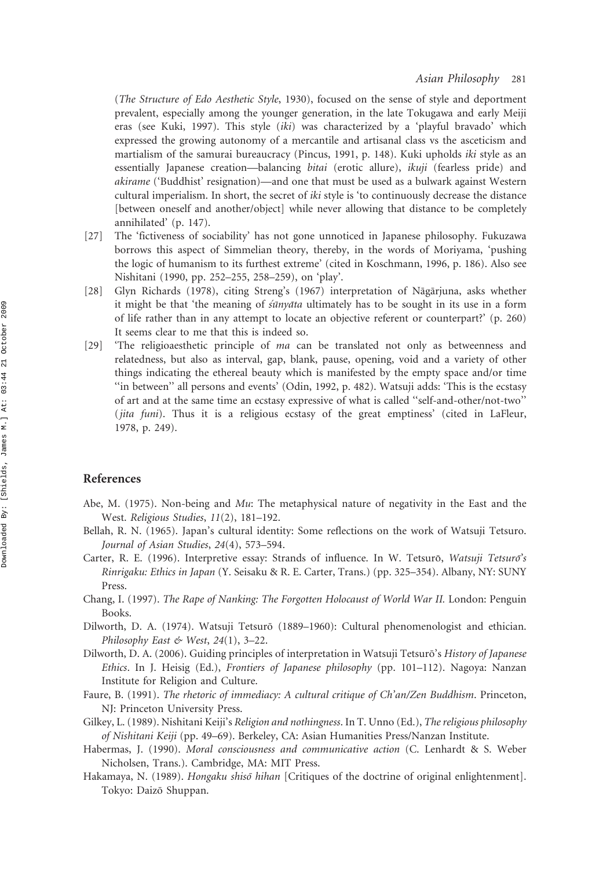(The Structure of Edo Aesthetic Style, 1930), focused on the sense of style and deportment prevalent, especially among the younger generation, in the late Tokugawa and early Meiji eras (see Kuki, 1997). This style (iki) was characterized by a 'playful bravado' which expressed the growing autonomy of a mercantile and artisanal class vs the asceticism and martialism of the samurai bureaucracy (Pincus, 1991, p. 148). Kuki upholds iki style as an essentially Japanese creation—balancing bitai (erotic allure), ikuji (fearless pride) and akirame ('Buddhist' resignation)—and one that must be used as a bulwark against Western cultural imperialism. In short, the secret of iki style is 'to continuously decrease the distance [between oneself and another/object] while never allowing that distance to be completely annihilated' (p. 147).

- [27] The 'fictiveness of sociability' has not gone unnoticed in Japanese philosophy. Fukuzawa borrows this aspect of Simmelian theory, thereby, in the words of Moriyama, 'pushing the logic of humanism to its furthest extreme' (cited in Koschmann, 1996, p. 186). Also see Nishitani (1990, pp. 252–255, 258–259), on 'play'.
- [28] Glyn Richards (1978), citing Streng's (1967) interpretation of Nāgārjuna, asks whether it might be that 'the meaning of  $\sin y \, d\tau$  ultimately has to be sought in its use in a form of life rather than in any attempt to locate an objective referent or counterpart?' (p. 260) It seems clear to me that this is indeed so.
- [29] 'The religioaesthetic principle of ma can be translated not only as betweenness and relatedness, but also as interval, gap, blank, pause, opening, void and a variety of other things indicating the ethereal beauty which is manifested by the empty space and/or time "in between" all persons and events' (Odin, 1992, p. 482). Watsuji adds: 'This is the ecstasy of art and at the same time an ecstasy expressive of what is called ''self-and-other/not-two'' (*jita funi*). Thus it is a religious ecstasy of the great emptiness' (cited in LaFleur, 1978, p. 249).

#### References

- Abe, M. (1975). Non-being and  $Mu$ : The metaphysical nature of negativity in the East and the West. Religious Studies, 11(2), 181–192.
- Bellah, R. N. (1965). Japan's cultural identity: Some reflections on the work of Watsuji Tetsuro. Journal of Asian Studies, 24(4), 573–594.
- Carter, R. E. (1996). Interpretive essay: Strands of influence. In W. Tetsurō, Watsuji Tetsurō's Rinrigaku: Ethics in Japan (Y. Seisaku & R. E. Carter, Trans.) (pp. 325–354). Albany, NY: SUNY Press.
- Chang, I. (1997). The Rape of Nanking: The Forgotten Holocaust of World War II. London: Penguin Books.
- Dilworth, D. A. (1974). Watsuji Tetsurō (1889–1960): Cultural phenomenologist and ethician. Philosophy East & West,  $24(1)$ , 3–22.
- Dilworth, D. A. (2006). Guiding principles of interpretation in Watsuji Tetsuro's History of Japanese Ethics. In J. Heisig (Ed.), Frontiers of Japanese philosophy (pp. 101–112). Nagoya: Nanzan Institute for Religion and Culture.
- Faure, B. (1991). The rhetoric of immediacy: A cultural critique of Ch'an/Zen Buddhism. Princeton, NJ: Princeton University Press.
- Gilkey, L. (1989). Nishitani Keiji's Religion and nothingness. In T. Unno (Ed.), The religious philosophy of Nishitani Keiji (pp. 49–69). Berkeley, CA: Asian Humanities Press/Nanzan Institute.
- Habermas, J. (1990). Moral consciousness and communicative action (C. Lenhardt & S. Weber Nicholsen, Trans.). Cambridge, MA: MIT Press.
- Hakamaya, N. (1989). Hongaku shisō hihan [Critiques of the doctrine of original enlightenment]. Tokyo: Daizo¯ Shuppan.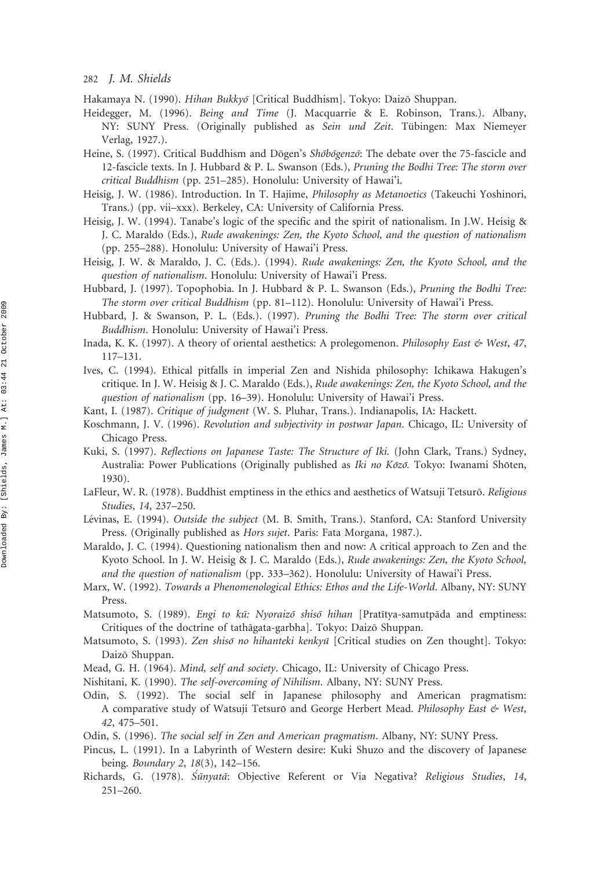Hakamaya N. (1990). Hihan Bukkyō [Critical Buddhism]. Tokyo: Daizō Shuppan.

- Heidegger, M. (1996). Being and Time (J. Macquarrie & E. Robinson, Trans.). Albany, NY: SUNY Press. (Originally published as Sein und Zeit. Tübingen: Max Niemeyer Verlag, 1927.).
- Heine, S. (1997). Critical Buddhism and Dōgen's Shōbōgenzō: The debate over the 75-fascicle and 12-fascicle texts. In J. Hubbard & P. L. Swanson (Eds.), Pruning the Bodhi Tree: The storm over critical Buddhism (pp. 251–285). Honolulu: University of Hawai'i.
- Heisig, J. W. (1986). Introduction. In T. Hajime, Philosophy as Metanoetics (Takeuchi Yoshinori, Trans.) (pp. vii–xxx). Berkeley, CA: University of California Press.
- Heisig, J. W. (1994). Tanabe's logic of the specific and the spirit of nationalism. In J.W. Heisig & J. C. Maraldo (Eds.), Rude awakenings: Zen, the Kyoto School, and the question of nationalism (pp. 255–288). Honolulu: University of Hawai'i Press.
- Heisig, J. W. & Maraldo, J. C. (Eds.). (1994). Rude awakenings: Zen, the Kyoto School, and the question of nationalism. Honolulu: University of Hawai'i Press.
- Hubbard, J. (1997). Topophobia. In J. Hubbard & P. L. Swanson (Eds.), Pruning the Bodhi Tree: The storm over critical Buddhism (pp. 81–112). Honolulu: University of Hawai'i Press.
- Hubbard, J. & Swanson, P. L. (Eds.). (1997). Pruning the Bodhi Tree: The storm over critical Buddhism. Honolulu: University of Hawai'i Press.
- Inada, K. K. (1997). A theory of oriental aesthetics: A prolegomenon. Philosophy East  $\mathfrak{G}$  West, 47, 117–131.
- Ives, C. (1994). Ethical pitfalls in imperial Zen and Nishida philosophy: Ichikawa Hakugen's critique. In J. W. Heisig & J. C. Maraldo (Eds.), Rude awakenings: Zen, the Kyoto School, and the question of nationalism (pp. 16-39). Honolulu: University of Hawai'i Press.
- Kant, I. (1987). Critique of judgment (W. S. Pluhar, Trans.). Indianapolis, IA: Hackett.
- Koschmann, J. V. (1996). Revolution and subjectivity in postwar Japan. Chicago, IL: University of Chicago Press.
- Kuki, S. (1997). Reflections on Japanese Taste: The Structure of Iki. (John Clark, Trans.) Sydney, Australia: Power Publications (Originally published as Iki no Kōzō. Tokyo: Iwanami Shōten, 1930).
- LaFleur, W. R. (1978). Buddhist emptiness in the ethics and aesthetics of Watsuji Tetsurō. Religious Studies, 14, 237–250.
- Lévinas, E. (1994). Outside the subject (M. B. Smith, Trans.). Stanford, CA: Stanford University Press. (Originally published as Hors sujet. Paris: Fata Morgana, 1987.).
- Maraldo, J. C. (1994). Questioning nationalism then and now: A critical approach to Zen and the Kyoto School. In J. W. Heisig & J. C. Maraldo (Eds.), Rude awakenings: Zen, the Kyoto School, and the question of nationalism (pp. 333–362). Honolulu: University of Hawai'i Press.
- Marx, W. (1992). Towards a Phenomenological Ethics: Ethos and the Life-World. Albany, NY: SUNY Press.
- Matsumoto, S. (1989). Engi to kū: Nyoraizō shisō hihan [Pratītya-samutpāda and emptiness: Critiques of the doctrine of tathāgata-garbha]. Tokyo: Daizō Shuppan.
- Matsumoto, S. (1993). Zen shisō no hihanteki kenkyū [Critical studies on Zen thought]. Tokyo: Daizō Shuppan.
- Mead, G. H. (1964). Mind, self and society. Chicago, IL: University of Chicago Press.
- Nishitani, K. (1990). The self-overcoming of Nihilism. Albany, NY: SUNY Press.
- Odin, S. (1992). The social self in Japanese philosophy and American pragmatism: A comparative study of Watsuji Tetsurō and George Herbert Mead. Philosophy East & West, 42, 475–501.
- Odin, S. (1996). The social self in Zen and American pragmatism. Albany, NY: SUNY Press.
- Pincus, L. (1991). In a Labyrinth of Western desire: Kuki Shuzo and the discovery of Japanese being. Boundary 2, 18(3), 142–156.
- Richards, G. (1978). Sunyata: Objective Referent or Via Negativa? Religious Studies, 14, 251–260.